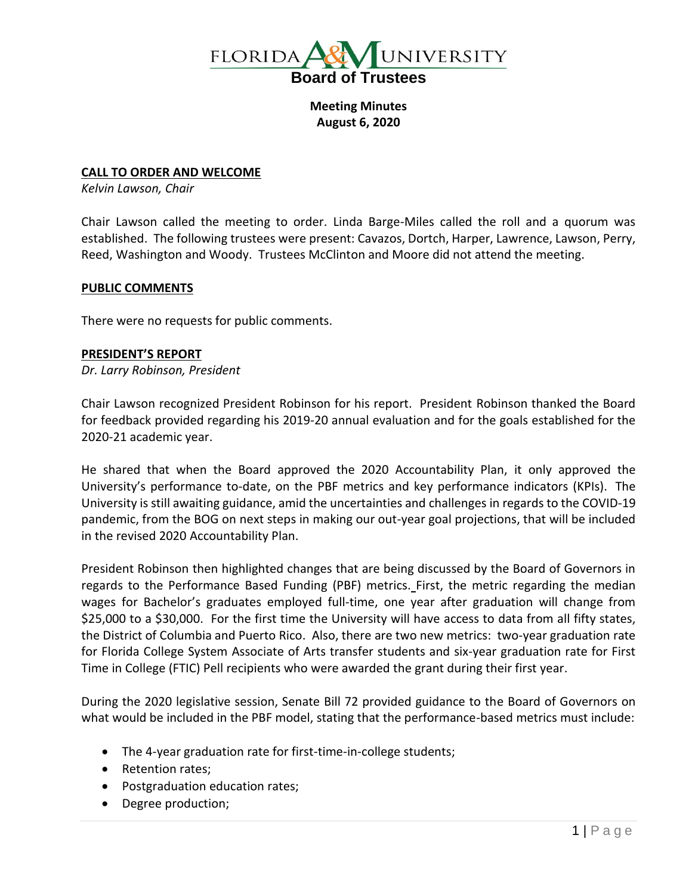

**Meeting Minutes August 6, 2020**

#### **CALL TO ORDER AND WELCOME**

*Kelvin Lawson, Chair*

Chair Lawson called the meeting to order. Linda Barge-Miles called the roll and a quorum was established. The following trustees were present: Cavazos, Dortch, Harper, Lawrence, Lawson, Perry, Reed, Washington and Woody. Trustees McClinton and Moore did not attend the meeting.

#### **PUBLIC COMMENTS**

There were no requests for public comments.

#### **PRESIDENT'S REPORT**

*Dr. Larry Robinson, President*

Chair Lawson recognized President Robinson for his report. President Robinson thanked the Board for feedback provided regarding his 2019-20 annual evaluation and for the goals established for the 2020-21 academic year.

He shared that when the Board approved the 2020 Accountability Plan, it only approved the University's performance to-date, on the PBF metrics and key performance indicators (KPIs). The University is still awaiting guidance, amid the uncertainties and challenges in regards to the COVID-19 pandemic, from the BOG on next steps in making our out-year goal projections, that will be included in the revised 2020 Accountability Plan.

President Robinson then highlighted changes that are being discussed by the Board of Governors in regards to the Performance Based Funding (PBF) metrics. First, the metric regarding the median wages for Bachelor's graduates employed full-time, one year after graduation will change from \$25,000 to a \$30,000. For the first time the University will have access to data from all fifty states, the District of Columbia and Puerto Rico. Also, there are two new metrics: two-year graduation rate for Florida College System Associate of Arts transfer students and six-year graduation rate for First Time in College (FTIC) Pell recipients who were awarded the grant during their first year.

During the 2020 legislative session, Senate Bill 72 provided guidance to the Board of Governors on what would be included in the PBF model, stating that the performance-based metrics must include:

- The 4-year graduation rate for first-time-in-college students;
- Retention rates;
- Postgraduation education rates;
- Degree production;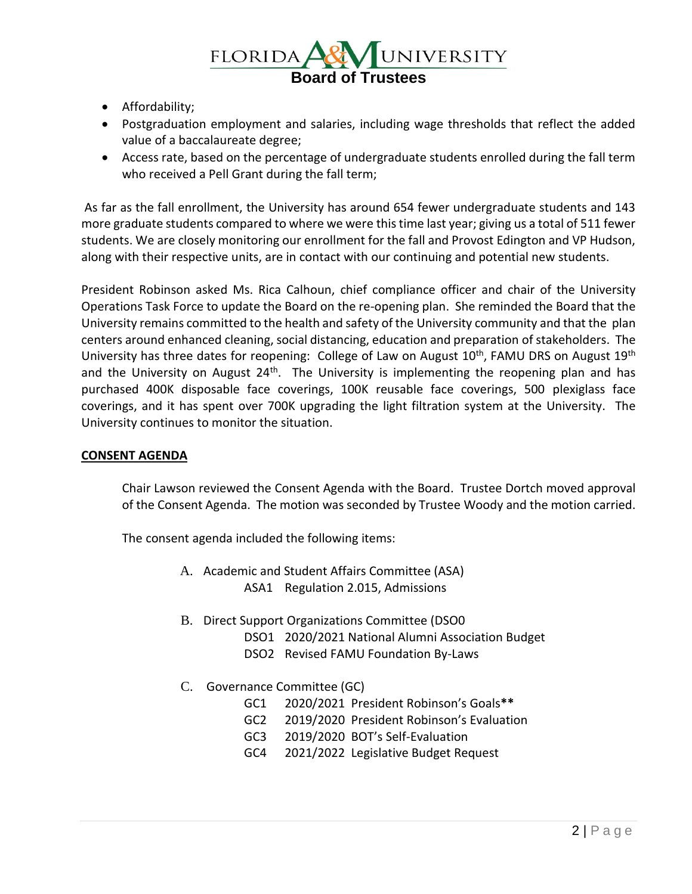

- Affordability;
- Postgraduation employment and salaries, including wage thresholds that reflect the added value of a baccalaureate degree;
- Access rate, based on the percentage of undergraduate students enrolled during the fall term who received a Pell Grant during the fall term;

As far as the fall enrollment, the University has around 654 fewer undergraduate students and 143 more graduate students compared to where we were this time last year; giving us a total of 511 fewer students. We are closely monitoring our enrollment for the fall and Provost Edington and VP Hudson, along with their respective units, are in contact with our continuing and potential new students.

President Robinson asked Ms. Rica Calhoun, chief compliance officer and chair of the University Operations Task Force to update the Board on the re-opening plan. She reminded the Board that the University remains committed to the health and safety of the University community and that the plan centers around enhanced cleaning, social distancing, education and preparation of stakeholders. The University has three dates for reopening: College of Law on August 10<sup>th</sup>, FAMU DRS on August 19<sup>th</sup> and the University on August 24<sup>th</sup>. The University is implementing the reopening plan and has purchased 400K disposable face coverings, 100K reusable face coverings, 500 plexiglass face coverings, and it has spent over 700K upgrading the light filtration system at the University. The University continues to monitor the situation.

### **CONSENT AGENDA**

Chair Lawson reviewed the Consent Agenda with the Board. Trustee Dortch moved approval of the Consent Agenda. The motion was seconded by Trustee Woody and the motion carried.

The consent agenda included the following items:

- A. Academic and Student Affairs Committee (ASA) ASA1 Regulation 2.015, Admissions
- B. Direct Support Organizations Committee (DSO0
	- DSO1 2020/2021 National Alumni Association Budget
	- DSO2 Revised FAMU Foundation By-Laws
- C. Governance Committee (GC)
	- GC1 2020/2021 President Robinson's Goals**\*\***
	- GC2 2019/2020 President Robinson's Evaluation
	- GC3 2019/2020 BOT's Self-Evaluation
	- GC4 2021/2022 Legislative Budget Request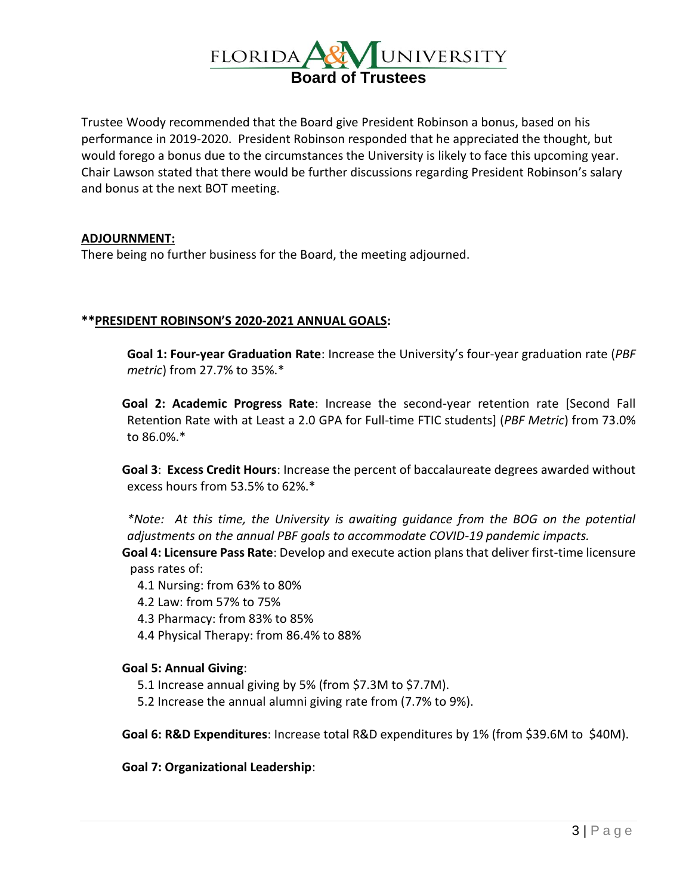

Trustee Woody recommended that the Board give President Robinson a bonus, based on his performance in 2019-2020. President Robinson responded that he appreciated the thought, but would forego a bonus due to the circumstances the University is likely to face this upcoming year. Chair Lawson stated that there would be further discussions regarding President Robinson's salary and bonus at the next BOT meeting.

### **ADJOURNMENT:**

There being no further business for the Board, the meeting adjourned.

### **\*\*PRESIDENT ROBINSON'S 2020-2021 ANNUAL GOALS:**

**Goal 1: Four-year Graduation Rate**: Increase the University's four-year graduation rate (*PBF metric*) from 27.7% to 35%.\*

**Goal 2: Academic Progress Rate**: Increase the second-year retention rate [Second Fall Retention Rate with at Least a 2.0 GPA for Full-time FTIC students] (*PBF Metric*) from 73.0% to 86.0%.\*

**Goal 3**: **Excess Credit Hours**: Increase the percent of baccalaureate degrees awarded without excess hours from 53.5% to 62%.\*

*\*Note: At this time, the University is awaiting guidance from the BOG on the potential adjustments on the annual PBF goals to accommodate COVID-19 pandemic impacts.*  **Goal 4: Licensure Pass Rate**: Develop and execute action plans that deliver first-time licensure pass rates of:

- 4.1 Nursing: from 63% to 80%
- 4.2 Law: from 57% to 75%
- 4.3 Pharmacy: from 83% to 85%
- 4.4 Physical Therapy: from 86.4% to 88%

### **Goal 5: Annual Giving**:

- 5.1 Increase annual giving by 5% (from \$7.3M to \$7.7M).
- 5.2 Increase the annual alumni giving rate from (7.7% to 9%).

**Goal 6: R&D Expenditures**: Increase total R&D expenditures by 1% (from \$39.6M to \$40M).

**Goal 7: Organizational Leadership**: